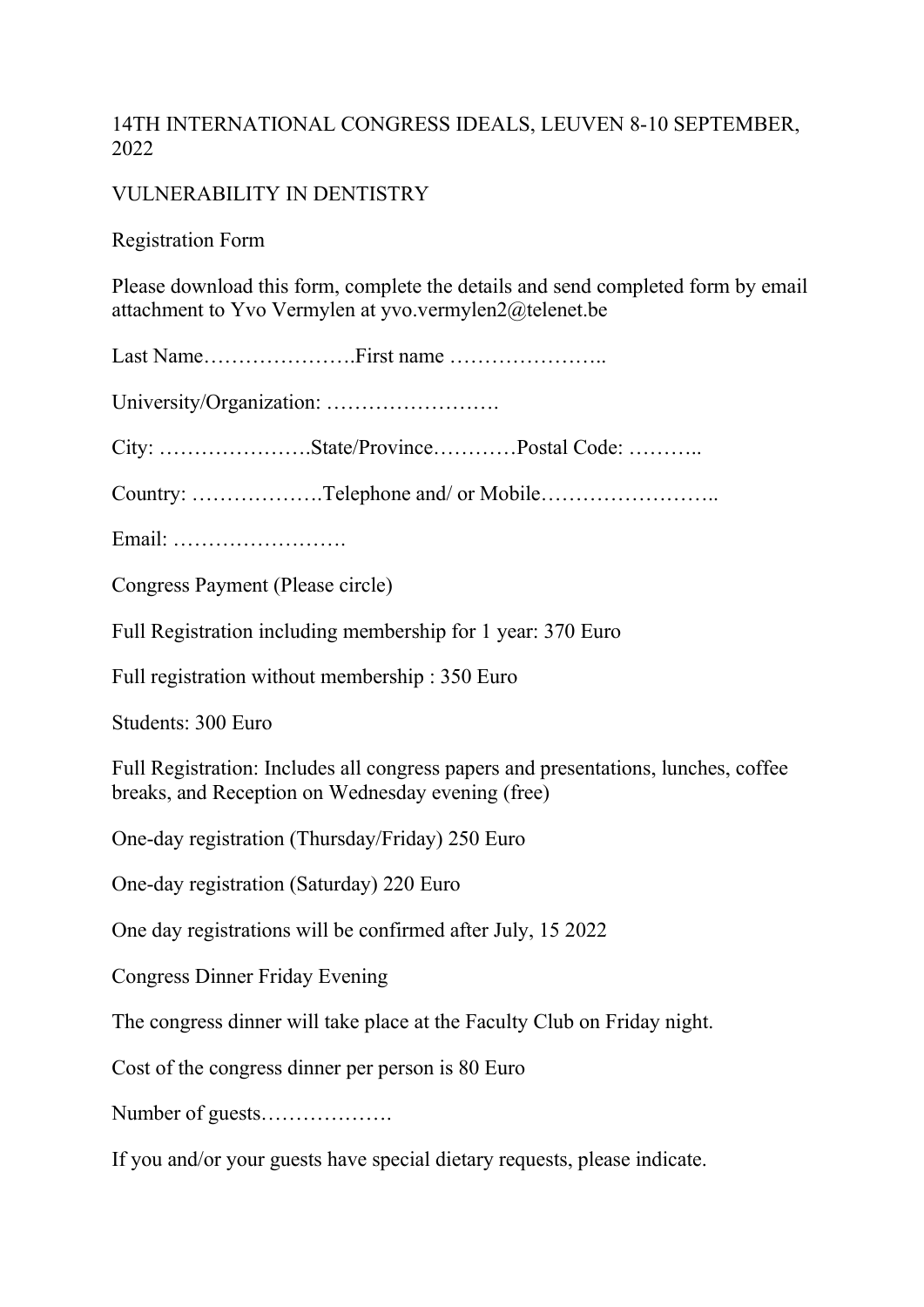## 14TH INTERNATIONAL CONGRESS IDEALS, LEUVEN 8-10 SEPTEMBER, 2022

## VULNERABILITY IN DENTISTRY

Registration Form

Please download this form, complete the details and send completed form by email attachment to Yvo Vermylen at yvo.vermylen2@telenet.be

Last Name………………….First name …………………..

University/Organization: …………………….

City: ………………….State/Province…………Postal Code: ………..

Country: ……………….Telephone and/ or Mobile……………………..

Email: …………………….

Congress Payment (Please circle)

Full Registration including membership for 1 year: 370 Euro

Full registration without membership : 350 Euro

Students: 300 Euro

Full Registration: Includes all congress papers and presentations, lunches, coffee breaks, and Reception on Wednesday evening (free)

One-day registration (Thursday/Friday) 250 Euro

One-day registration (Saturday) 220 Euro

One day registrations will be confirmed after July, 15 2022

Congress Dinner Friday Evening

The congress dinner will take place at the Faculty Club on Friday night.

Cost of the congress dinner per person is 80 Euro

Number of guests……………….

If you and/or your guests have special dietary requests, please indicate.